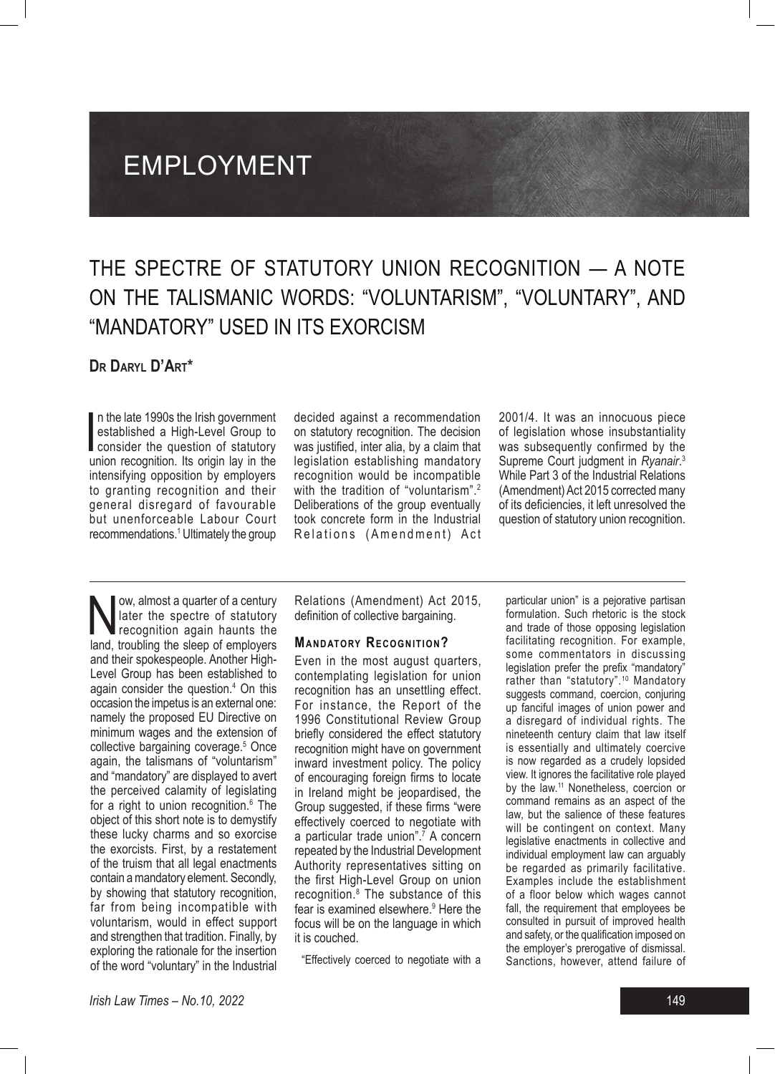# EMPLOYMENT

## THE SPECTRE OF STATUTORY UNION RECOGNITION — A NOTE ON THE TALISMANIC WORDS: "VOLUNTARISM", "VOLUNTARY", AND "MANDATORY" USED IN ITS EXORCISM

### **Dr Daryl D'Art\***

In the late 1990s the Irish government<br>established a High-Level Group to<br>consider the question of statutory<br>union recognition Its origin lay in the n the late 1990s the Irish government established a High-Level Group to union recognition. Its origin lay in the intensifying opposition by employers to granting recognition and their general disregard of favourable but unenforceable Labour Court recommendations.1 Ultimately the group decided against a recommendation on statutory recognition. The decision was justified, inter alia, by a claim that legislation establishing mandatory recognition would be incompatible with the tradition of "voluntarism".<sup>2</sup> Deliberations of the group eventually took concrete form in the Industrial Relations (Amendment) Act

2001/4. It was an innocuous piece of legislation whose insubstantiality was subsequently confirmed by the Supreme Court judgment in *Ryanair*. 3 While Part 3 of the Industrial Relations (Amendment) Act 2015 corrected many of its deficiencies, it left unresolved the question of statutory union recognition.

Now, almost a quarter of a century<br>
later the spectre of statutory<br>
recognition again haunts the<br>
land troubling the sleep of employers later the spectre of statutory land, troubling the sleep of employers and their spokespeople. Another High-Level Group has been established to again consider the question.<sup>4</sup> On this occasion the impetus is an external one: namely the proposed EU Directive on minimum wages and the extension of collective bargaining coverage.5 Once again, the talismans of "voluntarism" and "mandatory" are displayed to avert the perceived calamity of legislating for a right to union recognition.<sup>6</sup> The object of this short note is to demystify these lucky charms and so exorcise the exorcists. First, by a restatement of the truism that all legal enactments contain a mandatory element. Secondly, by showing that statutory recognition, far from being incompatible with voluntarism, would in effect support and strengthen that tradition. Finally, by exploring the rationale for the insertion of the word "voluntary" in the Industrial

Relations (Amendment) Act 2015, definition of collective bargaining.

#### **MANDATORY RECOGNITION?**

Even in the most august quarters, contemplating legislation for union recognition has an unsettling effect. For instance, the Report of the 1996 Constitutional Review Group briefly considered the effect statutory recognition might have on government inward investment policy. The policy of encouraging foreign firms to locate in Ireland might be jeopardised, the Group suggested, if these firms "were effectively coerced to negotiate with a particular trade union".<sup>7</sup> A concern repeated by the Industrial Development Authority representatives sitting on the first High-Level Group on union recognition.8 The substance of this fear is examined elsewhere.<sup>9</sup> Here the focus will be on the language in which it is couched.

"Effectively coerced to negotiate with a

particular union" is a pejorative partisan formulation. Such rhetoric is the stock and trade of those opposing legislation facilitating recognition. For example, some commentators in discussing legislation prefer the prefix "mandatory" rather than "statutory".<sup>10</sup> Mandatory suggests command, coercion, conjuring up fanciful images of union power and a disregard of individual rights. The nineteenth century claim that law itself is essentially and ultimately coercive is now regarded as a crudely lopsided view. It ignores the facilitative role played by the law.<sup>11</sup> Nonetheless, coercion or command remains as an aspect of the law, but the salience of these features will be contingent on context. Many legislative enactments in collective and individual employment law can arguably be regarded as primarily facilitative. Examples include the establishment of a floor below which wages cannot fall, the requirement that employees be consulted in pursuit of improved health and safety, or the qualification imposed on the employer's prerogative of dismissal. Sanctions, however, attend failure of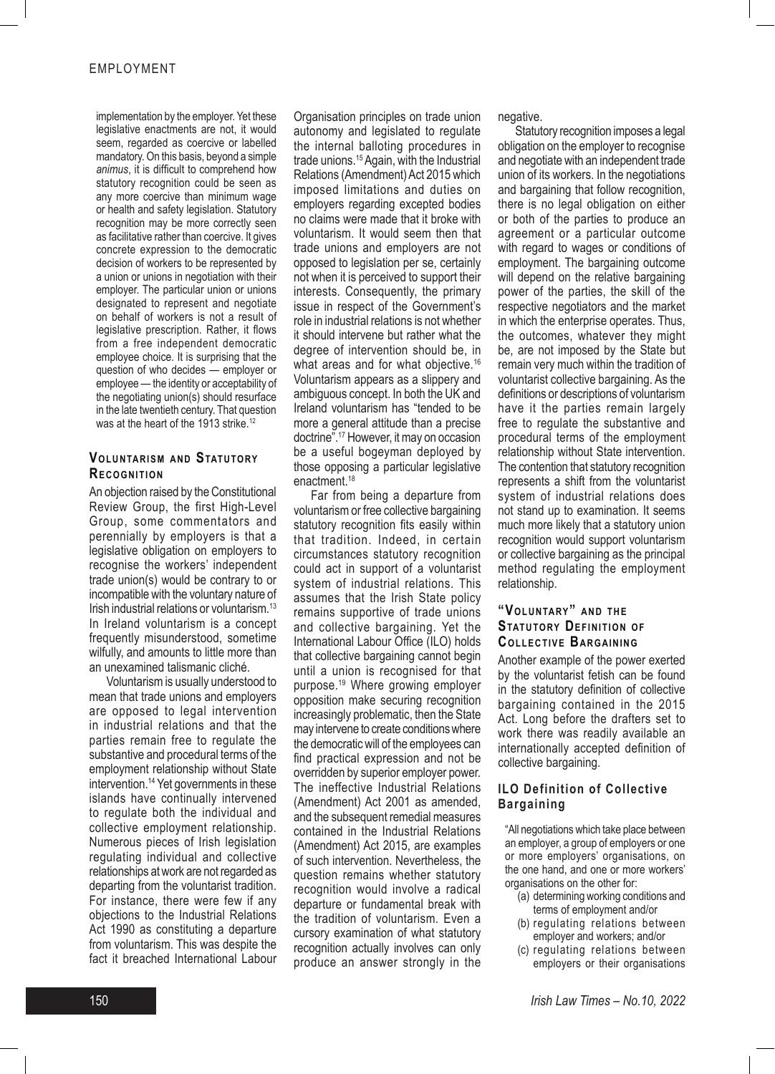implementation by the employer. Yet these legislative enactments are not, it would seem, regarded as coercive or labelled mandatory. On this basis, beyond a simple *animus*, it is difficult to comprehend how statutory recognition could be seen as any more coercive than minimum wage or health and safety legislation. Statutory recognition may be more correctly seen as facilitative rather than coercive. It gives concrete expression to the democratic decision of workers to be represented by a union or unions in negotiation with their employer. The particular union or unions designated to represent and negotiate on behalf of workers is not a result of legislative prescription. Rather, it flows from a free independent democratic employee choice. It is surprising that the question of who decides — employer or employee — the identity or acceptability of the negotiating union(s) should resurface in the late twentieth century. That question was at the heart of the 1913 strike.<sup>12</sup>

#### **VOLUNTARISM AND STATUTORY RECOGNITION**

An objection raised by the Constitutional Review Group, the first High-Level Group, some commentators and perennially by employers is that a legislative obligation on employers to recognise the workers' independent trade union(s) would be contrary to or incompatible with the voluntary nature of Irish industrial relations or voluntarism.13 In Ireland voluntarism is a concept frequently misunderstood, sometime wilfully, and amounts to little more than an unexamined talismanic cliché.

Voluntarism is usually understood to mean that trade unions and employers are opposed to legal intervention in industrial relations and that the parties remain free to regulate the substantive and procedural terms of the employment relationship without State intervention.<sup>14</sup> Yet governments in these islands have continually intervened to regulate both the individual and collective employment relationship. Numerous pieces of Irish legislation regulating individual and collective relationships at work are not regarded as departing from the voluntarist tradition. For instance, there were few if any objections to the Industrial Relations Act 1990 as constituting a departure from voluntarism. This was despite the fact it breached International Labour Organisation principles on trade union autonomy and legislated to regulate the internal balloting procedures in trade unions.15 Again, with the Industrial Relations (Amendment) Act 2015 which imposed limitations and duties on employers regarding excepted bodies no claims were made that it broke with voluntarism. It would seem then that trade unions and employers are not opposed to legislation per se, certainly not when it is perceived to support their interests. Consequently, the primary issue in respect of the Government's role in industrial relations is not whether it should intervene but rather what the degree of intervention should be, in what areas and for what objective.<sup>16</sup> Voluntarism appears as a slippery and ambiguous concept. In both the UK and Ireland voluntarism has "tended to be more a general attitude than a precise doctrine".17 However, it may on occasion be a useful bogeyman deployed by those opposing a particular legislative enactment.18

Far from being a departure from voluntarism or free collective bargaining statutory recognition fits easily within that tradition. Indeed, in certain circumstances statutory recognition could act in support of a voluntarist system of industrial relations. This assumes that the Irish State policy remains supportive of trade unions and collective bargaining. Yet the International Labour Office (ILO) holds that collective bargaining cannot begin until a union is recognised for that purpose.19 Where growing employer opposition make securing recognition increasingly problematic, then the State may intervene to create conditions where the democratic will of the employees can find practical expression and not be overridden by superior employer power. The ineffective Industrial Relations (Amendment) Act 2001 as amended, and the subsequent remedial measures contained in the Industrial Relations (Amendment) Act 2015, are examples of such intervention. Nevertheless, the question remains whether statutory recognition would involve a radical departure or fundamental break with the tradition of voluntarism. Even a cursory examination of what statutory recognition actually involves can only produce an answer strongly in the negative.

Statutory recognition imposes a legal obligation on the employer to recognise and negotiate with an independent trade union of its workers. In the negotiations and bargaining that follow recognition, there is no legal obligation on either or both of the parties to produce an agreement or a particular outcome with regard to wages or conditions of employment. The bargaining outcome will depend on the relative bargaining power of the parties, the skill of the respective negotiators and the market in which the enterprise operates. Thus, the outcomes, whatever they might be, are not imposed by the State but remain very much within the tradition of voluntarist collective bargaining. As the definitions or descriptions of voluntarism have it the parties remain largely free to regulate the substantive and procedural terms of the employment relationship without State intervention. The contention that statutory recognition represents a shift from the voluntarist system of industrial relations does not stand up to examination. It seems much more likely that a statutory union recognition would support voluntarism or collective bargaining as the principal method regulating the employment relationship.

#### "VOLUNTARY" AND THE **STATUTORY DEFINITION OF COLLECTIVE BARGAINING**

Another example of the power exerted by the voluntarist fetish can be found in the statutory definition of collective bargaining contained in the 2015 Act. Long before the drafters set to work there was readily available an internationally accepted definition of collective bargaining.

#### **ILO Definition of Collective Bargaining**

"All negotiations which take place between an employer, a group of employers or one or more employers' organisations, on the one hand, and one or more workers' organisations on the other for:

- (a) determining working conditions and terms of employment and/or
- (b) regulating relations between employer and workers; and/or
- (c) regulating relations between employers or their organisations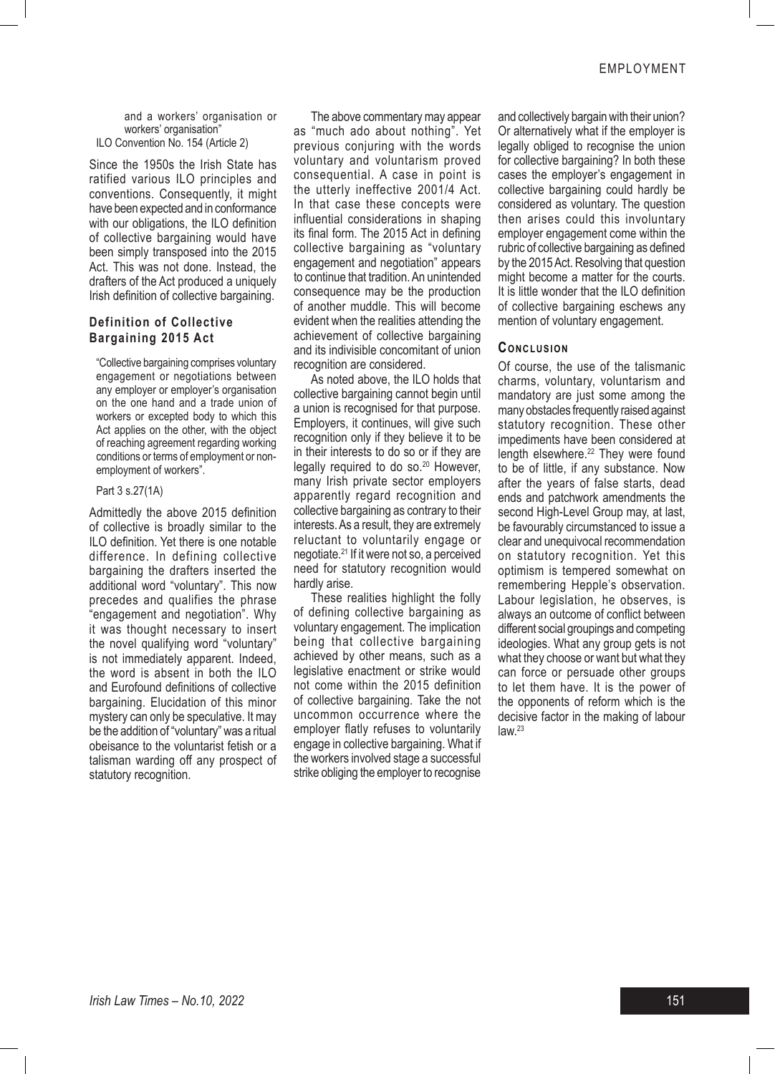and a workers' organisation or workers' organisation" ILO Convention No. 154 (Article 2)

Since the 1950s the Irish State has ratified various ILO principles and conventions. Consequently, it might have been expected and in conformance with our obligations, the ILO definition of collective bargaining would have been simply transposed into the 2015 Act. This was not done. Instead, the drafters of the Act produced a uniquely Irish definition of collective bargaining.

#### **Definition of Collective Bargaining 2015 Act**

"Collective bargaining comprises voluntary engagement or negotiations between any employer or employer's organisation on the one hand and a trade union of workers or excepted body to which this Act applies on the other, with the object of reaching agreement regarding working conditions or terms of employment or nonemployment of workers".

#### Part 3 s.27(1A)

Admittedly the above 2015 definition of collective is broadly similar to the ILO definition. Yet there is one notable difference. In defining collective bargaining the drafters inserted the additional word "voluntary". This now precedes and qualifies the phrase "engagement and negotiation". Why it was thought necessary to insert the novel qualifying word "voluntary" is not immediately apparent. Indeed, the word is absent in both the ILO and Eurofound definitions of collective bargaining. Elucidation of this minor mystery can only be speculative. It may be the addition of "voluntary" was a ritual obeisance to the voluntarist fetish or a talisman warding off any prospect of statutory recognition.

The above commentary may appear as "much ado about nothing". Yet previous conjuring with the words voluntary and voluntarism proved consequential. A case in point is the utterly ineffective 2001/4 Act. In that case these concepts were influential considerations in shaping its final form. The 2015 Act in defining collective bargaining as "voluntary engagement and negotiation" appears to continue that tradition. An unintended consequence may be the production of another muddle. This will become evident when the realities attending the achievement of collective bargaining and its indivisible concomitant of union recognition are considered.

As noted above, the ILO holds that collective bargaining cannot begin until a union is recognised for that purpose. Employers, it continues, will give such recognition only if they believe it to be in their interests to do so or if they are legally required to do so.<sup>20</sup> However, many Irish private sector employers apparently regard recognition and collective bargaining as contrary to their interests. As a result, they are extremely reluctant to voluntarily engage or negotiate.21 If it were not so, a perceived need for statutory recognition would hardly arise.

These realities highlight the folly of defining collective bargaining as voluntary engagement. The implication being that collective bargaining achieved by other means, such as a legislative enactment or strike would not come within the 2015 definition of collective bargaining. Take the not uncommon occurrence where the employer flatly refuses to voluntarily engage in collective bargaining. What if the workers involved stage a successful strike obliging the employer to recognise

and collectively bargain with their union? Or alternatively what if the employer is legally obliged to recognise the union for collective bargaining? In both these cases the employer's engagement in collective bargaining could hardly be considered as voluntary. The question then arises could this involuntary employer engagement come within the rubric of collective bargaining as defined by the 2015 Act. Resolving that question might become a matter for the courts. It is little wonder that the ILO definition of collective bargaining eschews any mention of voluntary engagement.

#### **CONCLUSION**

Of course, the use of the talismanic charms, voluntary, voluntarism and mandatory are just some among the many obstacles frequently raised against statutory recognition. These other impediments have been considered at length elsewhere.<sup>22</sup> They were found to be of little, if any substance. Now after the years of false starts, dead ends and patchwork amendments the second High-Level Group may, at last, be favourably circumstanced to issue a clear and unequivocal recommendation on statutory recognition. Yet this optimism is tempered somewhat on remembering Hepple's observation. Labour legislation, he observes, is always an outcome of conflict between different social groupings and competing ideologies. What any group gets is not what they choose or want but what they can force or persuade other groups to let them have. It is the power of the opponents of reform which is the decisive factor in the making of labour  $law.<sup>23</sup>$